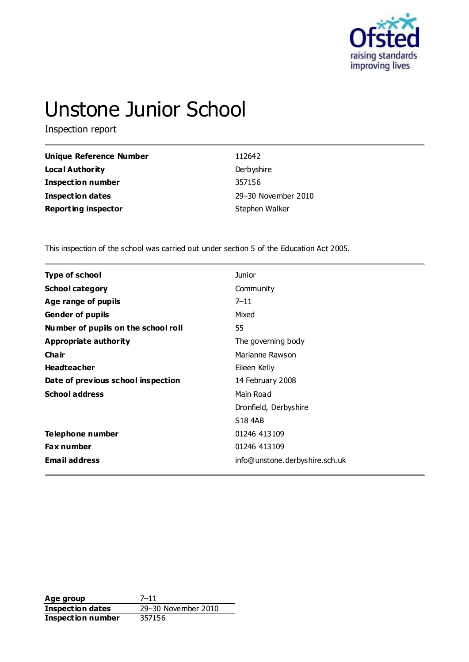

# Unstone Junior School

Inspection report

| <b>Unique Reference Number</b> | 112642              |
|--------------------------------|---------------------|
| <b>Local Authority</b>         | Derbyshire          |
| <b>Inspection number</b>       | 357156              |
| <b>Inspection dates</b>        | 29-30 November 2010 |
| <b>Reporting inspector</b>     | Stephen Walker      |

This inspection of the school was carried out under section 5 of the Education Act 2005.

| <b>Type of school</b>               | <b>Junior</b>                  |  |
|-------------------------------------|--------------------------------|--|
| <b>School category</b>              | Community                      |  |
| Age range of pupils                 | $7 - 11$                       |  |
| <b>Gender of pupils</b>             | Mixed                          |  |
| Number of pupils on the school roll | 55                             |  |
| Appropriate authority               | The governing body             |  |
| Cha ir                              | Marianne Rawson                |  |
| <b>Headteacher</b>                  | Eileen Kelly                   |  |
| Date of previous school inspection  | 14 February 2008               |  |
| <b>School address</b>               | Main Road                      |  |
|                                     | Dronfield, Derbyshire          |  |
|                                     | <b>S18 4AB</b>                 |  |
| Telephone number                    | 01246 413109                   |  |
| <b>Fax number</b>                   | 01246 413109                   |  |
| <b>Email address</b>                | info@unstone.derbyshire.sch.uk |  |

**Age group** 7–11 **Inspection dates** 29–30 November 2010 **Inspection dates**<br>**Inspection number**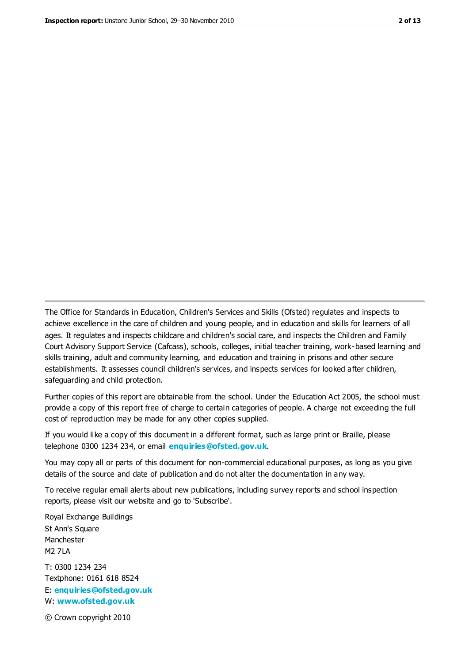The Office for Standards in Education, Children's Services and Skills (Ofsted) regulates and inspects to achieve excellence in the care of children and young people, and in education and skills for learners of all ages. It regulates and inspects childcare and children's social care, and inspects the Children and Family Court Advisory Support Service (Cafcass), schools, colleges, initial teacher training, work-based learning and skills training, adult and community learning, and education and training in prisons and other secure establishments. It assesses council children's services, and inspects services for looked after children, safeguarding and child protection.

Further copies of this report are obtainable from the school. Under the Education Act 2005, the school must provide a copy of this report free of charge to certain categories of people. A charge not exceeding the full cost of reproduction may be made for any other copies supplied.

If you would like a copy of this document in a different format, such as large print or Braille, please telephone 0300 1234 234, or email **[enquiries@ofsted.gov.uk](mailto:enquiries@ofsted.gov.uk)**.

You may copy all or parts of this document for non-commercial educational purposes, as long as you give details of the source and date of publication and do not alter the documentation in any way.

To receive regular email alerts about new publications, including survey reports and school inspection reports, please visit our website and go to 'Subscribe'.

Royal Exchange Buildings St Ann's Square Manchester M2 7LA T: 0300 1234 234 Textphone: 0161 618 8524 E: **[enquiries@ofsted.gov.uk](mailto:enquiries@ofsted.gov.uk)**

W: **[www.ofsted.gov.uk](http://www.ofsted.gov.uk/)**

© Crown copyright 2010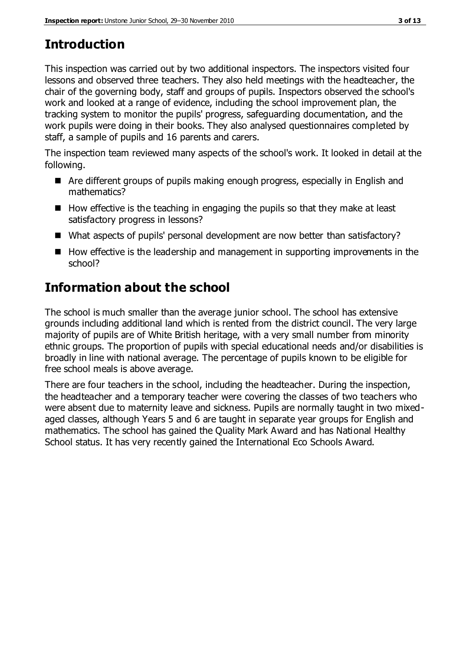# **Introduction**

This inspection was carried out by two additional inspectors. The inspectors visited four lessons and observed three teachers. They also held meetings with the headteacher, the chair of the governing body, staff and groups of pupils. Inspectors observed the school's work and looked at a range of evidence, including the school improvement plan, the tracking system to monitor the pupils' progress, safeguarding documentation, and the work pupils were doing in their books. They also analysed questionnaires completed by staff, a sample of pupils and 16 parents and carers.

The inspection team reviewed many aspects of the school's work. It looked in detail at the following.

- Are different groups of pupils making enough progress, especially in English and mathematics?
- $\blacksquare$  How effective is the teaching in engaging the pupils so that they make at least satisfactory progress in lessons?
- What aspects of pupils' personal development are now better than satisfactory?
- $\blacksquare$  How effective is the leadership and management in supporting improvements in the school?

# **Information about the school**

The school is much smaller than the average junior school. The school has extensive grounds including additional land which is rented from the district council. The very large majority of pupils are of White British heritage, with a very small number from minority ethnic groups. The proportion of pupils with special educational needs and/or disabilities is broadly in line with national average. The percentage of pupils known to be eligible for free school meals is above average.

There are four teachers in the school, including the headteacher. During the inspection, the headteacher and a temporary teacher were covering the classes of two teachers who were absent due to maternity leave and sickness. Pupils are normally taught in two mixedaged classes, although Years 5 and 6 are taught in separate year groups for English and mathematics. The school has gained the Quality Mark Award and has National Healthy School status. It has very recently gained the International Eco Schools Award.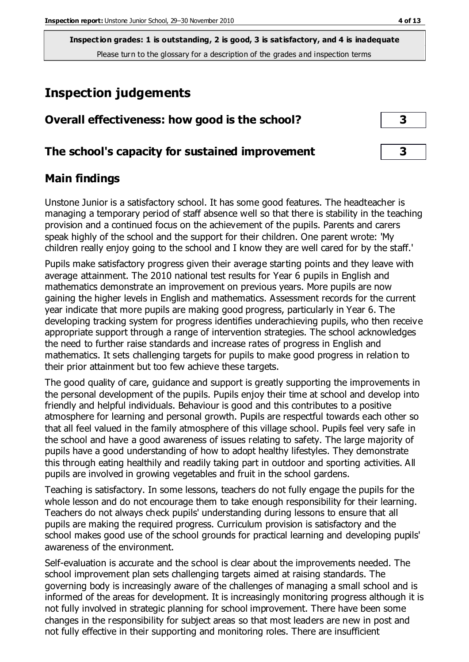# **Inspection judgements**

| Overall effectiveness: how good is the school?  |  |
|-------------------------------------------------|--|
| The school's capacity for sustained improvement |  |

### **Main findings**

Unstone Junior is a satisfactory school. It has some good features. The headteacher is managing a temporary period of staff absence well so that there is stability in the teaching provision and a continued focus on the achievement of the pupils. Parents and carers speak highly of the school and the support for their children. One parent wrote: 'My children really enjoy going to the school and I know they are well cared for by the staff.'

Pupils make satisfactory progress given their average starting points and they leave with average attainment. The 2010 national test results for Year 6 pupils in English and mathematics demonstrate an improvement on previous years. More pupils are now gaining the higher levels in English and mathematics. Assessment records for the current year indicate that more pupils are making good progress, particularly in Year 6. The developing tracking system for progress identifies underachieving pupils, who then receive appropriate support through a range of intervention strategies. The school acknowledges the need to further raise standards and increase rates of progress in English and mathematics. It sets challenging targets for pupils to make good progress in relation to their prior attainment but too few achieve these targets.

The good quality of care, guidance and support is greatly supporting the improvements in the personal development of the pupils. Pupils enjoy their time at school and develop into friendly and helpful individuals. Behaviour is good and this contributes to a positive atmosphere for learning and personal growth. Pupils are respectful towards each other so that all feel valued in the family atmosphere of this village school. Pupils feel very safe in the school and have a good awareness of issues relating to safety. The large majority of pupils have a good understanding of how to adopt healthy lifestyles. They demonstrate this through eating healthily and readily taking part in outdoor and sporting activities. All pupils are involved in growing vegetables and fruit in the school gardens.

Teaching is satisfactory. In some lessons, teachers do not fully engage the pupils for the whole lesson and do not encourage them to take enough responsibility for their learning. Teachers do not always check pupils' understanding during lessons to ensure that all pupils are making the required progress. Curriculum provision is satisfactory and the school makes good use of the school grounds for practical learning and developing pupils' awareness of the environment.

Self-evaluation is accurate and the school is clear about the improvements needed. The school improvement plan sets challenging targets aimed at raising standards. The governing body is increasingly aware of the challenges of managing a small school and is informed of the areas for development. It is increasingly monitoring progress although it is not fully involved in strategic planning for school improvement. There have been some changes in the responsibility for subject areas so that most leaders are new in post and not fully effective in their supporting and monitoring roles. There are insufficient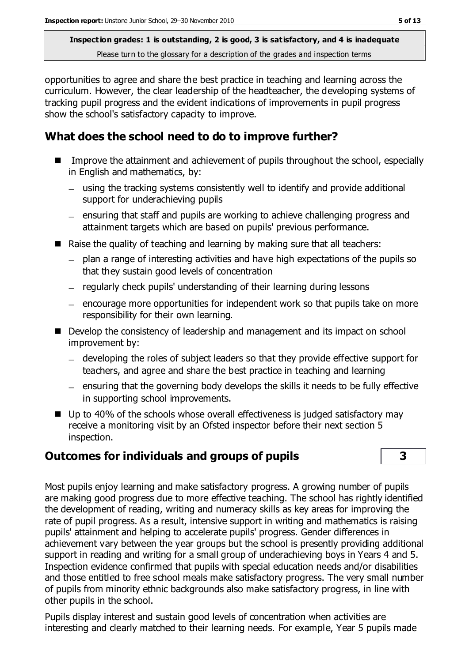opportunities to agree and share the best practice in teaching and learning across the curriculum. However, the clear leadership of the headteacher, the developing systems of tracking pupil progress and the evident indications of improvements in pupil progress show the school's satisfactory capacity to improve.

# **What does the school need to do to improve further?**

- Improve the attainment and achievement of pupils throughout the school, especially in English and mathematics, by:
	- using the tracking systems consistently well to identify and provide additional support for underachieving pupils
	- ensuring that staff and pupils are working to achieve challenging progress and attainment targets which are based on pupils' previous performance.
- Raise the quality of teaching and learning by making sure that all teachers:
	- plan a range of interesting activities and have high expectations of the pupils so that they sustain good levels of concentration
	- regularly check pupils' understanding of their learning during lessons
	- $-$  encourage more opportunities for independent work so that pupils take on more responsibility for their own learning.
- Develop the consistency of leadership and management and its impact on school improvement by:
	- developing the roles of subject leaders so that they provide effective support for teachers, and agree and share the best practice in teaching and learning
	- $-$  ensuring that the governing body develops the skills it needs to be fully effective in supporting school improvements.
- $\blacksquare$  Up to 40% of the schools whose overall effectiveness is judged satisfactory may receive a monitoring visit by an Ofsted inspector before their next section 5 inspection.

# **Outcomes for individuals and groups of pupils 3**

Most pupils enjoy learning and make satisfactory progress. A growing number of pupils are making good progress due to more effective teaching. The school has rightly identified the development of reading, writing and numeracy skills as key areas for improving the rate of pupil progress. As a result, intensive support in writing and mathematics is raising pupils' attainment and helping to accelerate pupils' progress. Gender differences in achievement vary between the year groups but the school is presently providing additional support in reading and writing for a small group of underachieving boys in Years 4 and 5. Inspection evidence confirmed that pupils with special education needs and/or disabilities and those entitled to free school meals make satisfactory progress. The very small number of pupils from minority ethnic backgrounds also make satisfactory progress, in line with other pupils in the school.

Pupils display interest and sustain good levels of concentration when activities are interesting and clearly matched to their learning needs. For example, Year 5 pupils made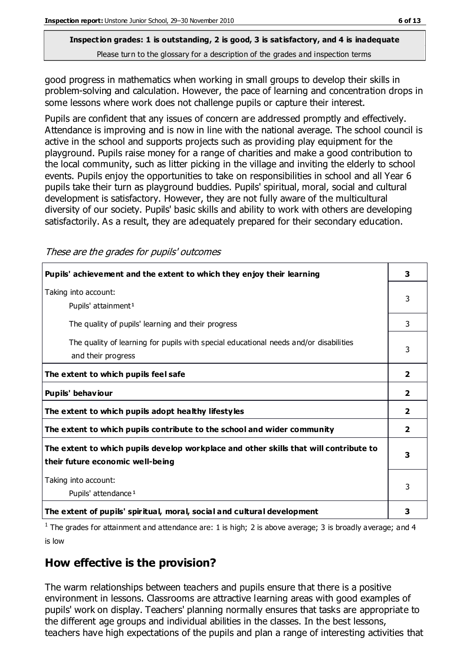good progress in mathematics when working in small groups to develop their skills in problem-solving and calculation. However, the pace of learning and concentration drops in some lessons where work does not challenge pupils or capture their interest.

Pupils are confident that any issues of concern are addressed promptly and effectively. Attendance is improving and is now in line with the national average. The school council is active in the school and supports projects such as providing play equipment for the playground. Pupils raise money for a range of charities and make a good contribution to the local community, such as litter picking in the village and inviting the elderly to school events. Pupils enjoy the opportunities to take on responsibilities in school and all Year 6 pupils take their turn as playground buddies. Pupils' spiritual, moral, social and cultural development is satisfactory. However, they are not fully aware of the multicultural diversity of our society. Pupils' basic skills and ability to work with others are developing satisfactorily. As a result, they are adequately prepared for their secondary education.

These are the grades for pupils' outcomes

| Pupils' achievement and the extent to which they enjoy their learning                                                     | 3            |
|---------------------------------------------------------------------------------------------------------------------------|--------------|
| Taking into account:<br>Pupils' attainment <sup>1</sup>                                                                   | 3            |
| The quality of pupils' learning and their progress                                                                        | 3            |
| The quality of learning for pupils with special educational needs and/or disabilities<br>and their progress               | 3            |
| The extent to which pupils feel safe                                                                                      | $\mathbf{2}$ |
| Pupils' behaviour                                                                                                         | 2            |
| The extent to which pupils adopt healthy lifestyles                                                                       | $\mathbf{2}$ |
| The extent to which pupils contribute to the school and wider community                                                   | $\mathbf{2}$ |
| The extent to which pupils develop workplace and other skills that will contribute to<br>their future economic well-being | 3            |
| Taking into account:<br>Pupils' attendance <sup>1</sup>                                                                   |              |
| The extent of pupils' spiritual, moral, social and cultural development                                                   | 3            |

<sup>1</sup> The grades for attainment and attendance are: 1 is high; 2 is above average; 3 is broadly average; and 4 is low

# **How effective is the provision?**

The warm relationships between teachers and pupils ensure that there is a positive environment in lessons. Classrooms are attractive learning areas with good examples of pupils' work on display. Teachers' planning normally ensures that tasks are appropriate to the different age groups and individual abilities in the classes. In the best lessons, teachers have high expectations of the pupils and plan a range of interesting activities that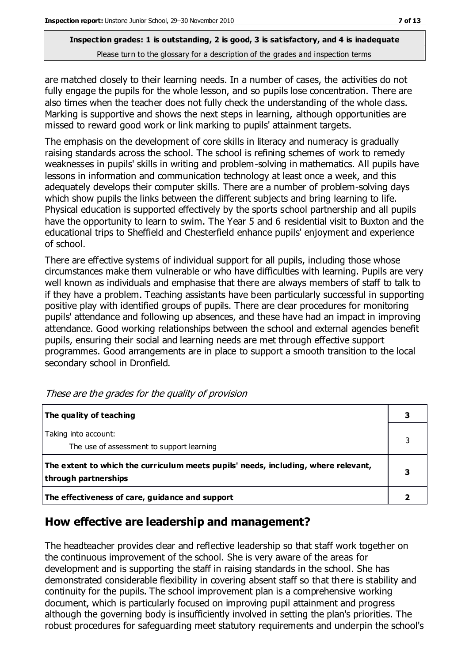are matched closely to their learning needs. In a number of cases, the activities do not fully engage the pupils for the whole lesson, and so pupils lose concentration. There are also times when the teacher does not fully check the understanding of the whole class. Marking is supportive and shows the next steps in learning, although opportunities are missed to reward good work or link marking to pupils' attainment targets.

The emphasis on the development of core skills in literacy and numeracy is gradually raising standards across the school. The school is refining schemes of work to remedy weaknesses in pupils' skills in writing and problem-solving in mathematics. All pupils have lessons in information and communication technology at least once a week, and this adequately develops their computer skills. There are a number of problem-solving days which show pupils the links between the different subjects and bring learning to life. Physical education is supported effectively by the sports school partnership and all pupils have the opportunity to learn to swim. The Year 5 and 6 residential visit to Buxton and the educational trips to Sheffield and Chesterfield enhance pupils' enjoyment and experience of school.

There are effective systems of individual support for all pupils, including those whose circumstances make them vulnerable or who have difficulties with learning. Pupils are very well known as individuals and emphasise that there are always members of staff to talk to if they have a problem. Teaching assistants have been particularly successful in supporting positive play with identified groups of pupils. There are clear procedures for monitoring pupils' attendance and following up absences, and these have had an impact in improving attendance. Good working relationships between the school and external agencies benefit pupils, ensuring their social and learning needs are met through effective support programmes. Good arrangements are in place to support a smooth transition to the local secondary school in Dronfield.

| The quality of teaching                                                                                    |   |
|------------------------------------------------------------------------------------------------------------|---|
| Taking into account:<br>The use of assessment to support learning                                          |   |
| The extent to which the curriculum meets pupils' needs, including, where relevant,<br>through partnerships | 3 |
| The effectiveness of care, guidance and support                                                            |   |

These are the grades for the quality of provision

### **How effective are leadership and management?**

The headteacher provides clear and reflective leadership so that staff work together on the continuous improvement of the school. She is very aware of the areas for development and is supporting the staff in raising standards in the school. She has demonstrated considerable flexibility in covering absent staff so that there is stability and continuity for the pupils. The school improvement plan is a comprehensive working document, which is particularly focused on improving pupil attainment and progress although the governing body is insufficiently involved in setting the plan's priorities. The robust procedures for safeguarding meet statutory requirements and underpin the school's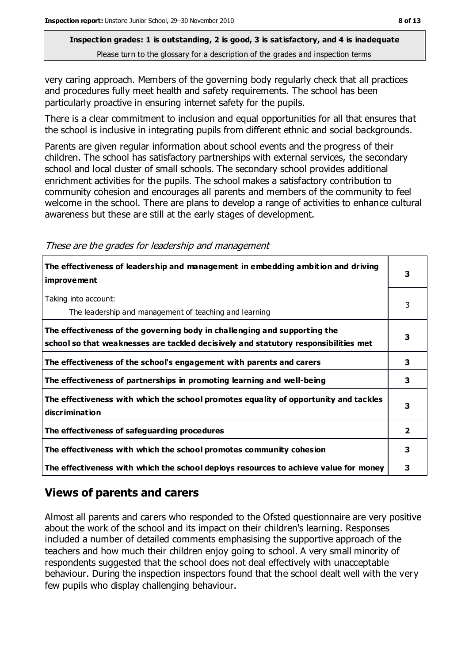very caring approach. Members of the governing body regularly check that all practices and procedures fully meet health and safety requirements. The school has been particularly proactive in ensuring internet safety for the pupils.

There is a clear commitment to inclusion and equal opportunities for all that ensures that the school is inclusive in integrating pupils from different ethnic and social backgrounds.

Parents are given regular information about school events and the progress of their children. The school has satisfactory partnerships with external services, the secondary school and local cluster of small schools. The secondary school provides additional enrichment activities for the pupils. The school makes a satisfactory contribution to community cohesion and encourages all parents and members of the community to feel welcome in the school. There are plans to develop a range of activities to enhance cultural awareness but these are still at the early stages of development.

These are the grades for leadership and management

| The effectiveness of leadership and management in embedding ambition and driving<br><i>improvement</i>                                                           |              |
|------------------------------------------------------------------------------------------------------------------------------------------------------------------|--------------|
| Taking into account:<br>The leadership and management of teaching and learning                                                                                   | 3            |
| The effectiveness of the governing body in challenging and supporting the<br>school so that weaknesses are tackled decisively and statutory responsibilities met | 3            |
| The effectiveness of the school's engagement with parents and carers                                                                                             | 3            |
| The effectiveness of partnerships in promoting learning and well-being                                                                                           | 3            |
| The effectiveness with which the school promotes equality of opportunity and tackles<br>discrimination                                                           | 3            |
| The effectiveness of safeguarding procedures                                                                                                                     | $\mathbf{2}$ |
| The effectiveness with which the school promotes community cohesion                                                                                              | 3            |
| The effectiveness with which the school deploys resources to achieve value for money                                                                             | 3            |

# **Views of parents and carers**

Almost all parents and carers who responded to the Ofsted questionnaire are very positive about the work of the school and its impact on their children's learning. Responses included a number of detailed comments emphasising the supportive approach of the teachers and how much their children enjoy going to school. A very small minority of respondents suggested that the school does not deal effectively with unacceptable behaviour. During the inspection inspectors found that the school dealt well with the very few pupils who display challenging behaviour.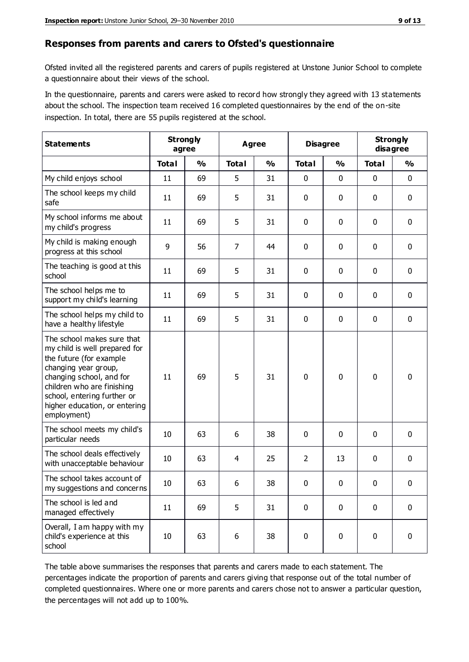#### **Responses from parents and carers to Ofsted's questionnaire**

Ofsted invited all the registered parents and carers of pupils registered at Unstone Junior School to complete a questionnaire about their views of the school.

In the questionnaire, parents and carers were asked to record how strongly they agreed with 13 statements about the school. The inspection team received 16 completed questionnaires by the end of the on-site inspection. In total, there are 55 pupils registered at the school.

| <b>Statements</b>                                                                                                                                                                                                                                       | <b>Strongly</b><br>agree |               |                | <b>Agree</b>  |                | <b>Disagree</b> | <b>Strongly</b> | disagree      |
|---------------------------------------------------------------------------------------------------------------------------------------------------------------------------------------------------------------------------------------------------------|--------------------------|---------------|----------------|---------------|----------------|-----------------|-----------------|---------------|
|                                                                                                                                                                                                                                                         | <b>Total</b>             | $\frac{0}{0}$ | <b>Total</b>   | $\frac{0}{0}$ | <b>Total</b>   | $\frac{0}{0}$   | <b>Total</b>    | $\frac{0}{0}$ |
| My child enjoys school                                                                                                                                                                                                                                  | 11                       | 69            | 5              | 31            | 0              | $\mathbf 0$     | 0               | $\mathbf 0$   |
| The school keeps my child<br>safe                                                                                                                                                                                                                       | 11                       | 69            | 5              | 31            | 0              | $\mathbf 0$     | 0               | $\pmb{0}$     |
| My school informs me about<br>my child's progress                                                                                                                                                                                                       | 11                       | 69            | 5              | 31            | 0              | $\mathbf 0$     | $\mathbf{0}$    | $\mathbf 0$   |
| My child is making enough<br>progress at this school                                                                                                                                                                                                    | 9                        | 56            | $\overline{7}$ | 44            | 0              | 0               | 0               | $\mathbf 0$   |
| The teaching is good at this<br>school                                                                                                                                                                                                                  | 11                       | 69            | 5              | 31            | 0              | $\mathbf 0$     | 0               | $\mathbf 0$   |
| The school helps me to<br>support my child's learning                                                                                                                                                                                                   | 11                       | 69            | 5              | 31            | 0              | $\mathbf 0$     | $\mathbf 0$     | $\mathbf 0$   |
| The school helps my child to<br>have a healthy lifestyle                                                                                                                                                                                                | 11                       | 69            | 5              | 31            | $\mathbf 0$    | $\mathbf 0$     | 0               | $\mathbf 0$   |
| The school makes sure that<br>my child is well prepared for<br>the future (for example<br>changing year group,<br>changing school, and for<br>children who are finishing<br>school, entering further or<br>higher education, or entering<br>employment) | 11                       | 69            | 5              | 31            | $\mathbf 0$    | $\mathbf{0}$    | $\mathbf 0$     | $\mathbf 0$   |
| The school meets my child's<br>particular needs                                                                                                                                                                                                         | 10                       | 63            | 6              | 38            | 0              | $\mathbf{0}$    | $\mathbf{0}$    | $\mathbf 0$   |
| The school deals effectively<br>with unacceptable behaviour                                                                                                                                                                                             | 10                       | 63            | 4              | 25            | $\overline{2}$ | 13              | 0               | 0             |
| The school takes account of<br>my suggestions and concerns                                                                                                                                                                                              | 10 <sup>1</sup>          | 63            | 6              | 38            | 0              | $\mathbf 0$     | 0               | 0             |
| The school is led and<br>managed effectively                                                                                                                                                                                                            | 11                       | 69            | 5              | 31            | $\mathbf 0$    | 0               | $\mathbf 0$     | $\mathbf 0$   |
| Overall, I am happy with my<br>child's experience at this<br>school                                                                                                                                                                                     | 10                       | 63            | 6              | 38            | $\pmb{0}$      | $\mathbf 0$     | $\mathbf 0$     | $\pmb{0}$     |

The table above summarises the responses that parents and carers made to each statement. The percentages indicate the proportion of parents and carers giving that response out of the total number of completed questionnaires. Where one or more parents and carers chose not to answer a particular question, the percentages will not add up to 100%.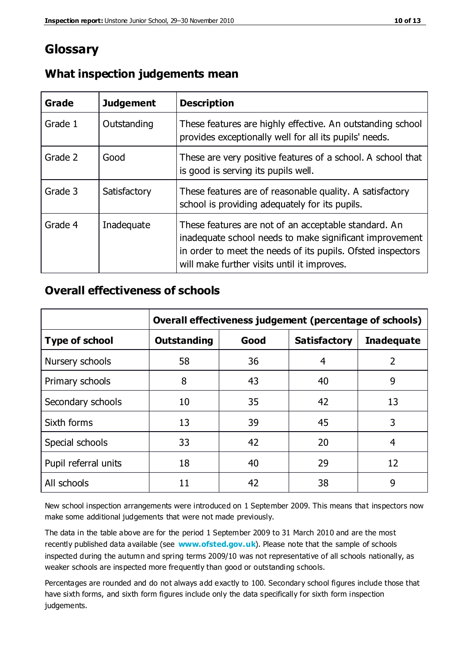# **Glossary**

| Grade   | <b>Judgement</b> | <b>Description</b>                                                                                                                                                                                                            |
|---------|------------------|-------------------------------------------------------------------------------------------------------------------------------------------------------------------------------------------------------------------------------|
| Grade 1 | Outstanding      | These features are highly effective. An outstanding school<br>provides exceptionally well for all its pupils' needs.                                                                                                          |
| Grade 2 | Good             | These are very positive features of a school. A school that<br>is good is serving its pupils well.                                                                                                                            |
| Grade 3 | Satisfactory     | These features are of reasonable quality. A satisfactory<br>school is providing adequately for its pupils.                                                                                                                    |
| Grade 4 | Inadequate       | These features are not of an acceptable standard. An<br>inadequate school needs to make significant improvement<br>in order to meet the needs of its pupils. Ofsted inspectors<br>will make further visits until it improves. |

#### **What inspection judgements mean**

#### **Overall effectiveness of schools**

|                       | Overall effectiveness judgement (percentage of schools) |      |                     |                   |
|-----------------------|---------------------------------------------------------|------|---------------------|-------------------|
| <b>Type of school</b> | <b>Outstanding</b>                                      | Good | <b>Satisfactory</b> | <b>Inadequate</b> |
| Nursery schools       | 58                                                      | 36   | 4                   | 2                 |
| Primary schools       | 8                                                       | 43   | 40                  | 9                 |
| Secondary schools     | 10                                                      | 35   | 42                  | 13                |
| Sixth forms           | 13                                                      | 39   | 45                  | 3                 |
| Special schools       | 33                                                      | 42   | 20                  | 4                 |
| Pupil referral units  | 18                                                      | 40   | 29                  | 12                |
| All schools           | 11                                                      | 42   | 38                  | 9                 |

New school inspection arrangements were introduced on 1 September 2009. This means that inspectors now make some additional judgements that were not made previously.

The data in the table above are for the period 1 September 2009 to 31 March 2010 and are the most recently published data available (see **[www.ofsted.gov.uk](http://www.ofsted.gov.uk/)**). Please note that the sample of schools inspected during the autumn and spring terms 2009/10 was not representative of all schools nationally, as weaker schools are inspected more frequently than good or outstanding schools.

Percentages are rounded and do not always add exactly to 100. Secondary school figures include those that have sixth forms, and sixth form figures include only the data specifically for sixth form inspection judgements.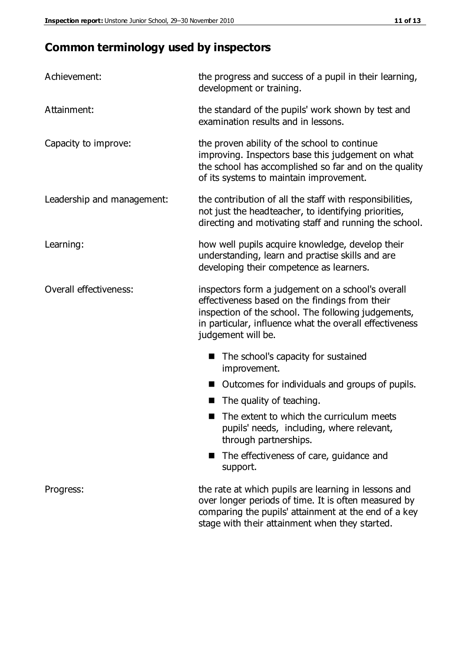# **Common terminology used by inspectors**

| Achievement:               | the progress and success of a pupil in their learning,<br>development or training.                                                                                                                                                          |  |  |
|----------------------------|---------------------------------------------------------------------------------------------------------------------------------------------------------------------------------------------------------------------------------------------|--|--|
| Attainment:                | the standard of the pupils' work shown by test and<br>examination results and in lessons.                                                                                                                                                   |  |  |
| Capacity to improve:       | the proven ability of the school to continue<br>improving. Inspectors base this judgement on what<br>the school has accomplished so far and on the quality<br>of its systems to maintain improvement.                                       |  |  |
| Leadership and management: | the contribution of all the staff with responsibilities,<br>not just the headteacher, to identifying priorities,<br>directing and motivating staff and running the school.                                                                  |  |  |
| Learning:                  | how well pupils acquire knowledge, develop their<br>understanding, learn and practise skills and are<br>developing their competence as learners.                                                                                            |  |  |
| Overall effectiveness:     | inspectors form a judgement on a school's overall<br>effectiveness based on the findings from their<br>inspection of the school. The following judgements,<br>in particular, influence what the overall effectiveness<br>judgement will be. |  |  |
|                            | The school's capacity for sustained<br>improvement.                                                                                                                                                                                         |  |  |
|                            | Outcomes for individuals and groups of pupils.                                                                                                                                                                                              |  |  |
|                            | The quality of teaching.                                                                                                                                                                                                                    |  |  |
|                            | The extent to which the curriculum meets<br>pupils' needs, including, where relevant,<br>through partnerships.                                                                                                                              |  |  |
|                            | The effectiveness of care, guidance and<br>support.                                                                                                                                                                                         |  |  |
| Progress:                  | the rate at which pupils are learning in lessons and<br>over longer periods of time. It is often measured by<br>comparing the pupils' attainment at the end of a key                                                                        |  |  |

stage with their attainment when they started.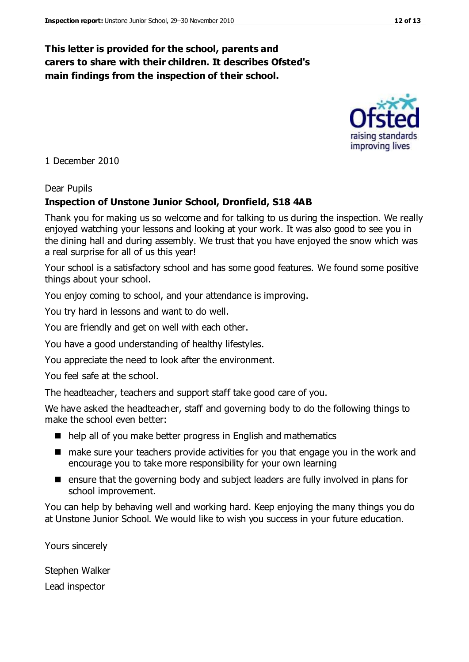#### **This letter is provided for the school, parents and carers to share with their children. It describes Ofsted's main findings from the inspection of their school.**

1 December 2010

#### Dear Pupils

#### **Inspection of Unstone Junior School, Dronfield, S18 4AB**

Thank you for making us so welcome and for talking to us during the inspection. We really enjoyed watching your lessons and looking at your work. It was also good to see you in the dining hall and during assembly. We trust that you have enjoyed the snow which was a real surprise for all of us this year!

Your school is a satisfactory school and has some good features. We found some positive things about your school.

You enjoy coming to school, and your attendance is improving.

You try hard in lessons and want to do well.

You are friendly and get on well with each other.

You have a good understanding of healthy lifestyles.

You appreciate the need to look after the environment.

You feel safe at the school.

The headteacher, teachers and support staff take good care of you.

We have asked the headteacher, staff and governing body to do the following things to make the school even better:

- help all of you make better progress in English and mathematics
- make sure your teachers provide activities for you that engage you in the work and encourage you to take more responsibility for your own learning
- ensure that the governing body and subject leaders are fully involved in plans for school improvement.

You can help by behaving well and working hard. Keep enjoying the many things you do at Unstone Junior School. We would like to wish you success in your future education.

Yours sincerely

Stephen Walker

Lead inspector